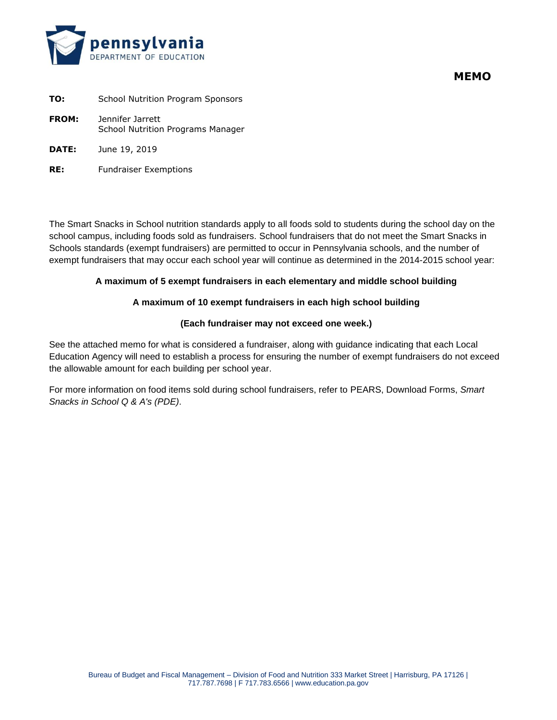

**MEMO**

| TO:          | <b>School Nutrition Program Sponsors</b>              |
|--------------|-------------------------------------------------------|
| <b>FROM:</b> | Jennifer Jarrett<br>School Nutrition Programs Manager |
| <b>DATE:</b> | June 19, 2019                                         |

**RE:** Fundraiser Exemptions

The Smart Snacks in School nutrition standards apply to all foods sold to students during the school day on the school campus, including foods sold as fundraisers. School fundraisers that do not meet the Smart Snacks in Schools standards (exempt fundraisers) are permitted to occur in Pennsylvania schools, and the number of exempt fundraisers that may occur each school year will continue as determined in the 2014-2015 school year:

## **A maximum of 5 exempt fundraisers in each elementary and middle school building**

## **A maximum of 10 exempt fundraisers in each high school building**

## **(Each fundraiser may not exceed one week.)**

See the attached memo for what is considered a fundraiser, along with guidance indicating that each Local Education Agency will need to establish a process for ensuring the number of exempt fundraisers do not exceed the allowable amount for each building per school year.

For more information on food items sold during school fundraisers, refer to PEARS, Download Forms, *Smart Snacks in School Q & A's (PDE)*.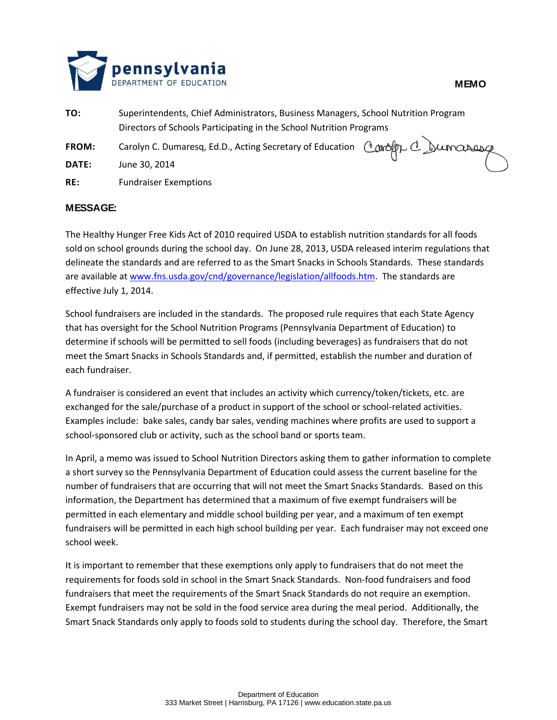

- **TO:** Superintendents, Chief Administrators, Business Managers, School Nutrition Program Directors of Schools Participating in the School Nutrition Programs FROM: Carolyn C. Dumaresq, Ed.D., Acting Secretary of Education *Corofty C. Sumanang* **DATE:** June 30, 2014
- **RE:** Fundraiser Exemptions

## **MESSAGE:**

The Healthy Hunger Free Kids Act of 2010 required USDA to establish nutrition standards for all foods sold on school grounds during the school day. On June 28, 2013, USDA released interim regulations that delineate the standards and are referred to as the Smart Snacks in Schools Standards. These standards are available a[t www.fns.usda.gov/cnd/governance/legislation/allfoods.htm.](http://www.fns.usda.gov/cnd/governance/legislation/allfoods.htm) The standards are effective July 1, 2014.

School fundraisers are included in the standards. The proposed rule requires that each State Agency that has oversight for the School Nutrition Programs (Pennsylvania Department of Education) to determine if schools will be permitted to sell foods (including beverages) as fundraisers that do not meet the Smart Snacks in Schools Standards and, if permitted, establish the number and duration of each fundraiser.

A fundraiser is considered an event that includes an activity which currency/token/tickets, etc. are exchanged for the sale/purchase of a product in support of the school or school-related activities. Examples include: bake sales, candy bar sales, vending machines where profits are used to support a school-sponsored club or activity, such as the school band or sports team.

In April, a memo was issued to School Nutrition Directors asking them to gather information to complete a short survey so the Pennsylvania Department of Education could assess the current baseline for the number of fundraisers that are occurring that will not meet the Smart Snacks Standards. Based on this information, the Department has determined that a maximum of five exempt fundraisers will be permitted in each elementary and middle school building per year, and a maximum of ten exempt fundraisers will be permitted in each high school building per year. Each fundraiser may not exceed one school week.

It is important to remember that these exemptions only apply to fundraisers that do not meet the requirements for foods sold in school in the Smart Snack Standards. Non-food fundraisers and food fundraisers that meet the requirements of the Smart Snack Standards do not require an exemption. Exempt fundraisers may not be sold in the food service area during the meal period. Additionally, the Smart Snack Standards only apply to foods sold to students during the school day. Therefore, the Smart